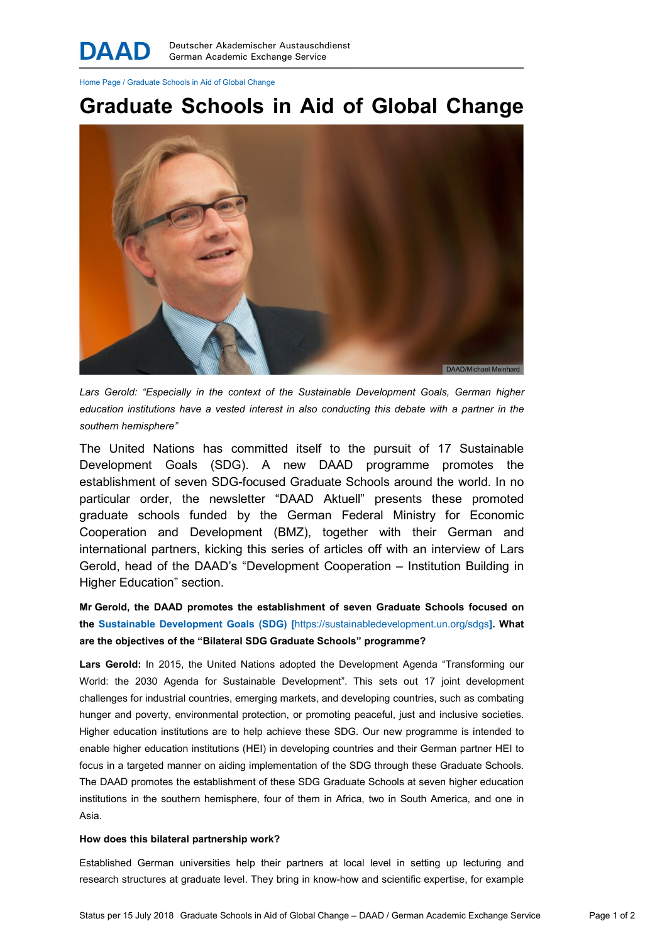Home Page / Graduate Schools in Aid of Global Change

# Graduate Schools in Aid of Global Change



Lars Gerold: "Especially in the context of the Sustainable Development Goals, German higher education institutions have a vested interest in also conducting this debate with a partner in the southern hemisphere"

The United Nations has committed itself to the pursuit of 17 Sustainable Development Goals (SDG). A new DAAD programme promotes the establishment of seven SDG-focused Graduate Schools around the world. In no particular order, the newsletter "DAAD Aktuell" presents these promoted graduate schools funded by the German Federal Ministry for Economic Cooperation and Development (BMZ), together with their German and international partners, kicking this series of articles off with an interview of Lars Gerold, head of the DAAD's "Development Cooperation – Institution Building in Higher Education" section.

Mr Gerold, the DAAD promotes the establishment of seven Graduate Schools focused on the Sustainable Development Goals (SDG) [https://sustainabledevelopment.un.org/sdgs]. What are the objectives of the "Bilateral SDG Graduate Schools" programme?

Lars Gerold: In 2015, the United Nations adopted the Development Agenda "Transforming our World: the 2030 Agenda for Sustainable Development". This sets out 17 joint development challenges for industrial countries, emerging markets, and developing countries, such as combating hunger and poverty, environmental protection, or promoting peaceful, just and inclusive societies. Higher education institutions are to help achieve these SDG. Our new programme is intended to enable higher education institutions (HEI) in developing countries and their German partner HEI to focus in a targeted manner on aiding implementation of the SDG through these Graduate Schools. The DAAD promotes the establishment of these SDG Graduate Schools at seven higher education institutions in the southern hemisphere, four of them in Africa, two in South America, and one in Asia.

#### How does this bilateral partnership work?

Established German universities help their partners at local level in setting up lecturing and research structures at graduate level. They bring in know-how and scientific expertise, for example